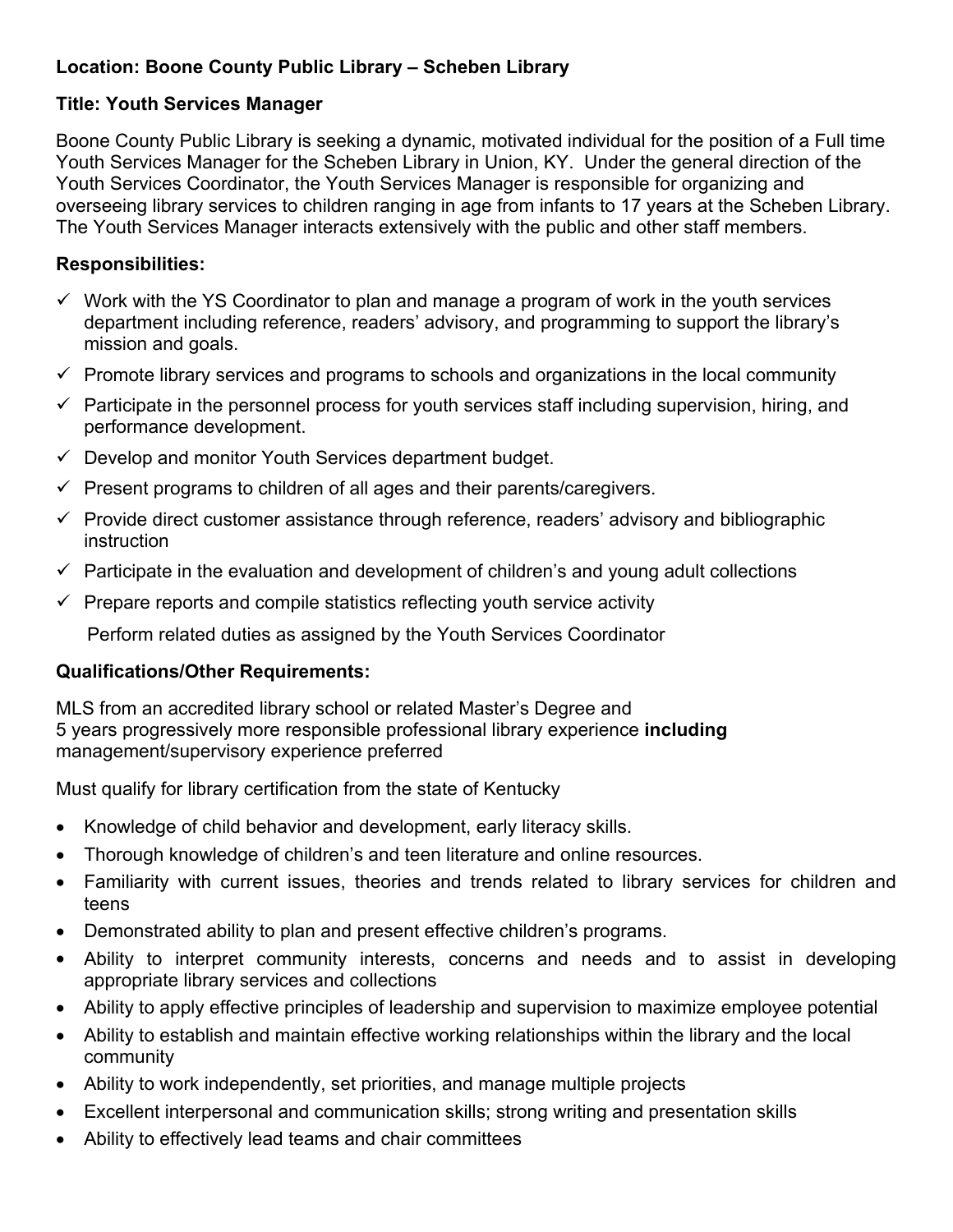# **Location: Boone County Public Library – Scheben Library**

# **Title: Youth Services Manager**

Boone County Public Library is seeking a dynamic, motivated individual for the position of a Full time Youth Services Manager for the Scheben Library in Union, KY. Under the general direction of the Youth Services Coordinator, the Youth Services Manager is responsible for organizing and overseeing library services to children ranging in age from infants to 17 years at the Scheben Library. The Youth Services Manager interacts extensively with the public and other staff members.

# **Responsibilities:**

- $\checkmark$  Work with the YS Coordinator to plan and manage a program of work in the youth services department including reference, readers' advisory, and programming to support the library's mission and goals.
- $\checkmark$  Promote library services and programs to schools and organizations in the local community
- $\checkmark$  Participate in the personnel process for youth services staff including supervision, hiring, and performance development.
- $\checkmark$  Develop and monitor Youth Services department budget.
- $\checkmark$  Present programs to children of all ages and their parents/caregivers.
- $\checkmark$  Provide direct customer assistance through reference, readers' advisory and bibliographic **instruction**
- $\checkmark$  Participate in the evaluation and development of children's and young adult collections
- $\checkmark$  Prepare reports and compile statistics reflecting youth service activity

Perform related duties as assigned by the Youth Services Coordinator

# **Qualifications/Other Requirements:**

MLS from an accredited library school or related Master's Degree and 5 years progressively more responsible professional library experience **including** management/supervisory experience preferred

Must qualify for library certification from the state of Kentucky

- Knowledge of child behavior and development, early literacy skills.
- Thorough knowledge of children's and teen literature and online resources.
- Familiarity with current issues, theories and trends related to library services for children and teens
- Demonstrated ability to plan and present effective children's programs.
- Ability to interpret community interests, concerns and needs and to assist in developing appropriate library services and collections
- Ability to apply effective principles of leadership and supervision to maximize employee potential
- Ability to establish and maintain effective working relationships within the library and the local community
- Ability to work independently, set priorities, and manage multiple projects
- Excellent interpersonal and communication skills; strong writing and presentation skills
- Ability to effectively lead teams and chair committees